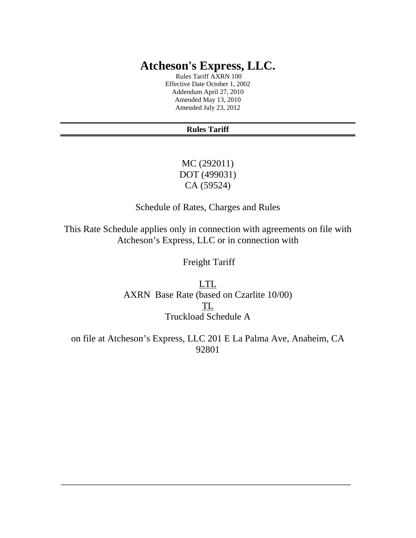# **Atcheson's Express, LLC.**

 Rules Tariff AXRN 100 Effective Date October 1, 2002 Addendum April 27, 2010 Amended May 13, 2010 Amended July 23, 2012

#### **Rules Tariff**

MC (292011) DOT (499031) CA (59524)

Schedule of Rates, Charges and Rules

This Rate Schedule applies only in connection with agreements on file with Atcheson's Express, LLC or in connection with

Freight Tariff

LTL AXRN Base Rate (based on Czarlite 10/00) TL Truckload Schedule A

on file at Atcheson's Express, LLC 201 E La Palma Ave, Anaheim, CA 92801

\_\_\_\_\_\_\_\_\_\_\_\_\_\_\_\_\_\_\_\_\_\_\_\_\_\_\_\_\_\_\_\_\_\_\_\_\_\_\_\_\_\_\_\_\_\_\_\_\_\_\_\_\_\_\_\_\_\_\_\_\_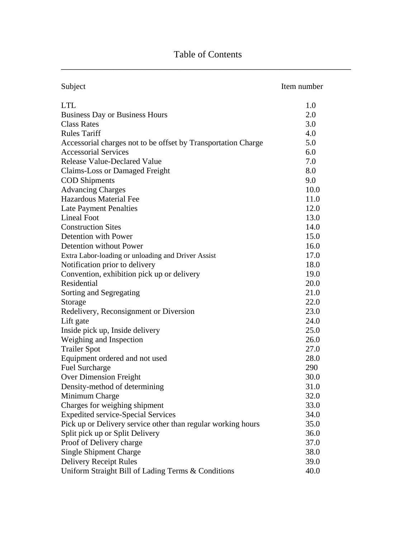| Subject                                                       | Item number |
|---------------------------------------------------------------|-------------|
| <b>LTL</b>                                                    | 1.0         |
| <b>Business Day or Business Hours</b>                         | 2.0         |
| <b>Class Rates</b>                                            | 3.0         |
| <b>Rules Tariff</b>                                           | 4.0         |
| Accessorial charges not to be offset by Transportation Charge | 5.0         |
| <b>Accessorial Services</b>                                   | 6.0         |
| <b>Release Value-Declared Value</b>                           | 7.0         |
| Claims-Loss or Damaged Freight                                | 8.0         |
| <b>COD</b> Shipments                                          | 9.0         |
| <b>Advancing Charges</b>                                      | 10.0        |
| <b>Hazardous Material Fee</b>                                 | 11.0        |
| <b>Late Payment Penalties</b>                                 | 12.0        |
| <b>Lineal Foot</b>                                            | 13.0        |
| <b>Construction Sites</b>                                     | 14.0        |
| Detention with Power                                          | 15.0        |
| Detention without Power                                       | 16.0        |
| Extra Labor-loading or unloading and Driver Assist            | 17.0        |
| Notification prior to delivery                                | 18.0        |
| Convention, exhibition pick up or delivery                    | 19.0        |
| Residential                                                   | 20.0        |
| Sorting and Segregating                                       | 21.0        |
| Storage                                                       | 22.0        |
| Redelivery, Reconsignment or Diversion                        | 23.0        |
| Lift gate                                                     | 24.0        |
| Inside pick up, Inside delivery                               | 25.0        |
| Weighing and Inspection                                       | 26.0        |
| <b>Trailer Spot</b>                                           | 27.0        |
| Equipment ordered and not used                                | 28.0        |
| <b>Fuel Surcharge</b>                                         | 290         |
| <b>Over Dimension Freight</b>                                 | 30.0        |
| Density-method of determining                                 | 31.0        |
| Minimum Charge                                                | 32.0        |
| Charges for weighing shipment                                 | 33.0        |
| <b>Expedited service-Special Services</b>                     | 34.0        |
| Pick up or Delivery service other than regular working hours  | 35.0        |
| Split pick up or Split Delivery                               | 36.0        |
| Proof of Delivery charge                                      | 37.0        |
| <b>Single Shipment Charge</b>                                 | 38.0        |
| <b>Delivery Receipt Rules</b>                                 | 39.0        |
| Uniform Straight Bill of Lading Terms & Conditions            | 40.0        |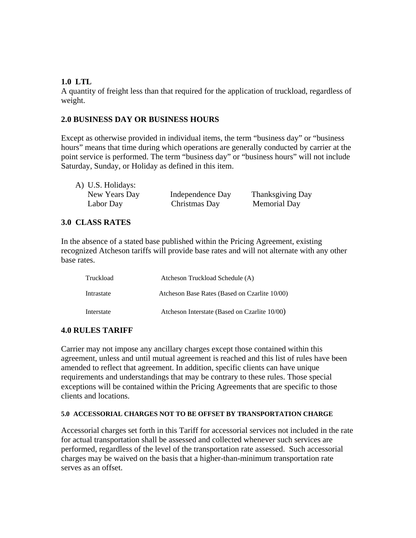#### **1.0 LTL**

A quantity of freight less than that required for the application of truckload, regardless of weight.

### **2.0 BUSINESS DAY OR BUSINESS HOURS**

Except as otherwise provided in individual items, the term "business day" or "business hours" means that time during which operations are generally conducted by carrier at the point service is performed. The term "business day" or "business hours" will not include Saturday, Sunday, or Holiday as defined in this item.

A) U.S. Holidays:

New Years Day Independence Day Thanksgiving Day Labor Day Christmas Day Memorial Day

#### **3.0 CLASS RATES**

In the absence of a stated base published within the Pricing Agreement, existing recognized Atcheson tariffs will provide base rates and will not alternate with any other base rates.

| Truckload  | Atcheson Truckload Schedule (A)               |
|------------|-----------------------------------------------|
| Intrastate | Atcheson Base Rates (Based on Czarlite 10/00) |
| Interstate | Atcheson Interstate (Based on Czarlite 10/00) |

#### **4.0 RULES TARIFF**

Carrier may not impose any ancillary charges except those contained within this agreement, unless and until mutual agreement is reached and this list of rules have been amended to reflect that agreement. In addition, specific clients can have unique requirements and understandings that may be contrary to these rules. Those special exceptions will be contained within the Pricing Agreements that are specific to those clients and locations.

#### **5.0 ACCESSORIAL CHARGES NOT TO BE OFFSET BY TRANSPORTATION CHARGE**

Accessorial charges set forth in this Tariff for accessorial services not included in the rate for actual transportation shall be assessed and collected whenever such services are performed, regardless of the level of the transportation rate assessed. Such accessorial charges may be waived on the basis that a higher-than-minimum transportation rate serves as an offset.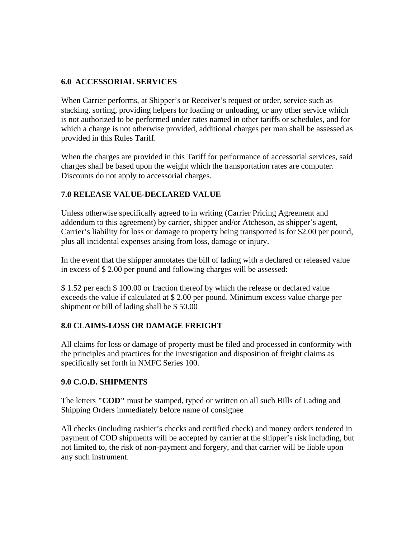### **6.0 ACCESSORIAL SERVICES**

When Carrier performs, at Shipper's or Receiver's request or order, service such as stacking, sorting, providing helpers for loading or unloading, or any other service which is not authorized to be performed under rates named in other tariffs or schedules, and for which a charge is not otherwise provided, additional charges per man shall be assessed as provided in this Rules Tariff.

When the charges are provided in this Tariff for performance of accessorial services, said charges shall be based upon the weight which the transportation rates are computer. Discounts do not apply to accessorial charges.

### **7.0 RELEASE VALUE-DECLARED VALUE**

Unless otherwise specifically agreed to in writing (Carrier Pricing Agreement and addendum to this agreement) by carrier, shipper and/or Atcheson, as shipper's agent, Carrier's liability for loss or damage to property being transported is for \$2.00 per pound, plus all incidental expenses arising from loss, damage or injury.

In the event that the shipper annotates the bill of lading with a declared or released value in excess of \$ 2.00 per pound and following charges will be assessed:

\$ 1.52 per each \$ 100.00 or fraction thereof by which the release or declared value exceeds the value if calculated at \$ 2.00 per pound. Minimum excess value charge per shipment or bill of lading shall be \$ 50.00

### **8.0 CLAIMS-LOSS OR DAMAGE FREIGHT**

All claims for loss or damage of property must be filed and processed in conformity with the principles and practices for the investigation and disposition of freight claims as specifically set forth in NMFC Series 100.

### **9.0 C.O.D. SHIPMENTS**

The letters **"COD"** must be stamped, typed or written on all such Bills of Lading and Shipping Orders immediately before name of consignee

All checks (including cashier's checks and certified check) and money orders tendered in payment of COD shipments will be accepted by carrier at the shipper's risk including, but not limited to, the risk of non-payment and forgery, and that carrier will be liable upon any such instrument.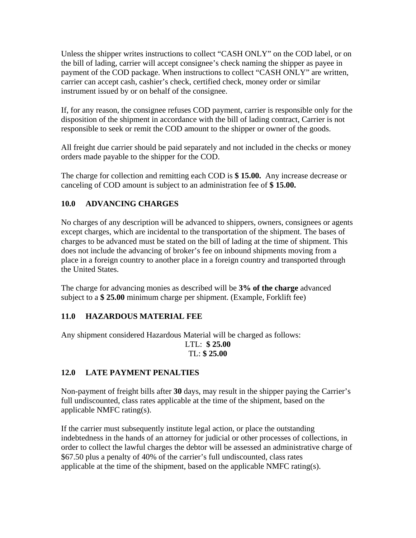Unless the shipper writes instructions to collect "CASH ONLY" on the COD label, or on the bill of lading, carrier will accept consignee's check naming the shipper as payee in payment of the COD package. When instructions to collect "CASH ONLY" are written, carrier can accept cash, cashier's check, certified check, money order or similar instrument issued by or on behalf of the consignee.

If, for any reason, the consignee refuses COD payment, carrier is responsible only for the disposition of the shipment in accordance with the bill of lading contract, Carrier is not responsible to seek or remit the COD amount to the shipper or owner of the goods.

All freight due carrier should be paid separately and not included in the checks or money orders made payable to the shipper for the COD.

The charge for collection and remitting each COD is **\$ 15.00.** Any increase decrease or canceling of COD amount is subject to an administration fee of **\$ 15.00.** 

# **10.0 ADVANCING CHARGES**

No charges of any description will be advanced to shippers, owners, consignees or agents except charges, which are incidental to the transportation of the shipment. The bases of charges to be advanced must be stated on the bill of lading at the time of shipment. This does not include the advancing of broker's fee on inbound shipments moving from a place in a foreign country to another place in a foreign country and transported through the United States.

The charge for advancing monies as described will be **3% of the charge** advanced subject to a **\$ 25.00** minimum charge per shipment. (Example, Forklift fee)

# **11.0 HAZARDOUS MATERIAL FEE**

Any shipment considered Hazardous Material will be charged as follows: LTL: **\$ 25.00**  TL: **\$ 25.00**

# **12.0 LATE PAYMENT PENALTIES**

Non-payment of freight bills after **30** days, may result in the shipper paying the Carrier's full undiscounted, class rates applicable at the time of the shipment, based on the applicable NMFC rating(s).

If the carrier must subsequently institute legal action, or place the outstanding indebtedness in the hands of an attorney for judicial or other processes of collections, in order to collect the lawful charges the debtor will be assessed an administrative charge of \$67.50 plus a penalty of 40% of the carrier's full undiscounted, class rates applicable at the time of the shipment, based on the applicable NMFC rating(s).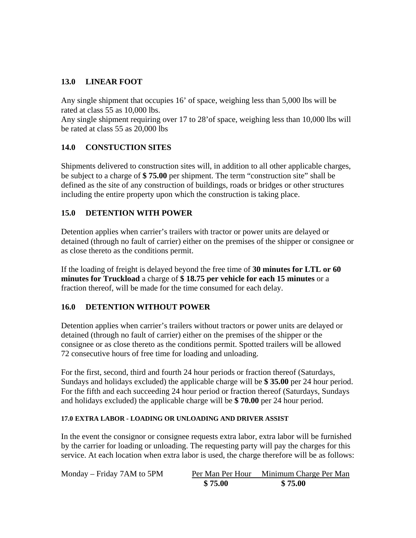### **13.0 LINEAR FOOT**

Any single shipment that occupies 16' of space, weighing less than 5,000 lbs will be rated at class 55 as 10,000 lbs.

Any single shipment requiring over 17 to 28'of space, weighing less than 10,000 lbs will be rated at class 55 as 20,000 lbs

### **14.0 CONSTUCTION SITES**

Shipments delivered to construction sites will, in addition to all other applicable charges, be subject to a charge of **\$ 75.00** per shipment. The term "construction site" shall be defined as the site of any construction of buildings, roads or bridges or other structures including the entire property upon which the construction is taking place.

### **15.0 DETENTION WITH POWER**

Detention applies when carrier's trailers with tractor or power units are delayed or detained (through no fault of carrier) either on the premises of the shipper or consignee or as close thereto as the conditions permit.

If the loading of freight is delayed beyond the free time of **30 minutes for LTL or 60 minutes for Truckload** a charge of **\$ 18.75 per vehicle for each 15 minutes** or a fraction thereof, will be made for the time consumed for each delay.

### **16.0 DETENTION WITHOUT POWER**

Detention applies when carrier's trailers without tractors or power units are delayed or detained (through no fault of carrier) either on the premises of the shipper or the consignee or as close thereto as the conditions permit. Spotted trailers will be allowed 72 consecutive hours of free time for loading and unloading.

For the first, second, third and fourth 24 hour periods or fraction thereof (Saturdays, Sundays and holidays excluded) the applicable charge will be **\$ 35.00** per 24 hour period. For the fifth and each succeeding 24 hour period or fraction thereof (Saturdays, Sundays and holidays excluded) the applicable charge will be **\$ 70.00** per 24 hour period.

#### **17.0 EXTRA LABOR - LOADING OR UNLOADING AND DRIVER ASSIST**

In the event the consignor or consignee requests extra labor, extra labor will be furnished by the carrier for loading or unloading. The requesting party will pay the charges for this service. At each location when extra labor is used, the charge therefore will be as follows:

| Monday – Friday 7AM to 5PM |         | Per Man Per Hour Minimum Charge Per Man |  |
|----------------------------|---------|-----------------------------------------|--|
|                            | \$75.00 | \$75.00                                 |  |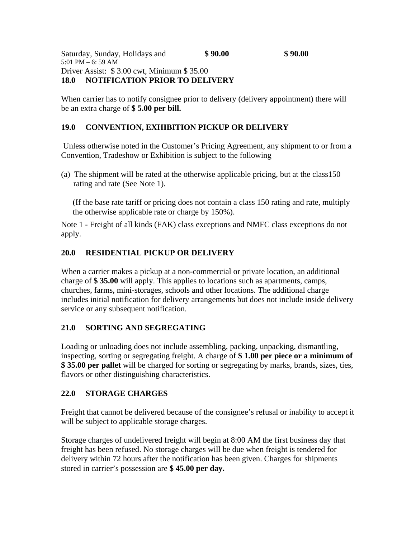When carrier has to notify consignee prior to delivery (delivery appointment) there will be an extra charge of **\$ 5.00 per bill.** 

# **19.0 CONVENTION, EXHIBITION PICKUP OR DELIVERY**

 Unless otherwise noted in the Customer's Pricing Agreement, any shipment to or from a Convention, Tradeshow or Exhibition is subject to the following

(a) The shipment will be rated at the otherwise applicable pricing, but at the class150 rating and rate (See Note 1).

(If the base rate tariff or pricing does not contain a class 150 rating and rate, multiply the otherwise applicable rate or charge by 150%).

Note 1 - Freight of all kinds (FAK) class exceptions and NMFC class exceptions do not apply.

# **20.0 RESIDENTIAL PICKUP OR DELIVERY**

When a carrier makes a pickup at a non-commercial or private location, an additional charge of **\$ 35.00** will apply. This applies to locations such as apartments, camps, churches, farms, mini-storages, schools and other locations. The additional charge includes initial notification for delivery arrangements but does not include inside delivery service or any subsequent notification.

# **21.0 SORTING AND SEGREGATING**

Loading or unloading does not include assembling, packing, unpacking, dismantling, inspecting, sorting or segregating freight. A charge of **\$ 1.00 per piece or a minimum of \$ 35.00 per pallet** will be charged for sorting or segregating by marks, brands, sizes, ties, flavors or other distinguishing characteristics.

# **22.0 STORAGE CHARGES**

Freight that cannot be delivered because of the consignee's refusal or inability to accept it will be subject to applicable storage charges.

Storage charges of undelivered freight will begin at 8:00 AM the first business day that freight has been refused. No storage charges will be due when freight is tendered for delivery within 72 hours after the notification has been given. Charges for shipments stored in carrier's possession are **\$ 45.00 per day.**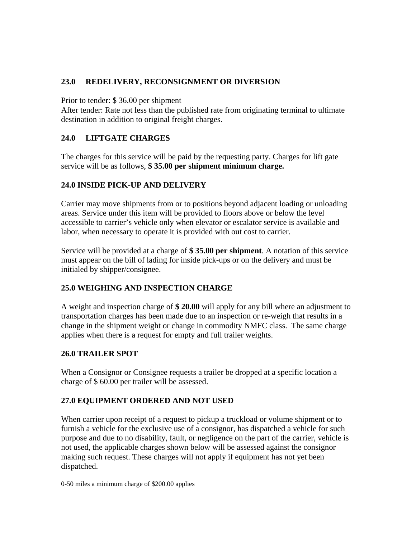### **23.0 REDELIVERY, RECONSIGNMENT OR DIVERSION**

Prior to tender: \$ 36.00 per shipment

After tender: Rate not less than the published rate from originating terminal to ultimate destination in addition to original freight charges.

# **24.0 LIFTGATE CHARGES**

The charges for this service will be paid by the requesting party. Charges for lift gate service will be as follows, **\$ 35.00 per shipment minimum charge.** 

# **24.0 INSIDE PICK-UP AND DELIVERY**

Carrier may move shipments from or to positions beyond adjacent loading or unloading areas. Service under this item will be provided to floors above or below the level accessible to carrier's vehicle only when elevator or escalator service is available and labor, when necessary to operate it is provided with out cost to carrier.

Service will be provided at a charge of **\$ 35.00 per shipment**. A notation of this service must appear on the bill of lading for inside pick-ups or on the delivery and must be initialed by shipper/consignee.

# **25.0 WEIGHING AND INSPECTION CHARGE**

A weight and inspection charge of **\$ 20.00** will apply for any bill where an adjustment to transportation charges has been made due to an inspection or re-weigh that results in a change in the shipment weight or change in commodity NMFC class. The same charge applies when there is a request for empty and full trailer weights.

### **26.0 TRAILER SPOT**

When a Consignor or Consignee requests a trailer be dropped at a specific location a charge of \$ 60.00 per trailer will be assessed.

### **27.0 EQUIPMENT ORDERED AND NOT USED**

When carrier upon receipt of a request to pickup a truckload or volume shipment or to furnish a vehicle for the exclusive use of a consignor, has dispatched a vehicle for such purpose and due to no disability, fault, or negligence on the part of the carrier, vehicle is not used, the applicable charges shown below will be assessed against the consignor making such request. These charges will not apply if equipment has not yet been dispatched.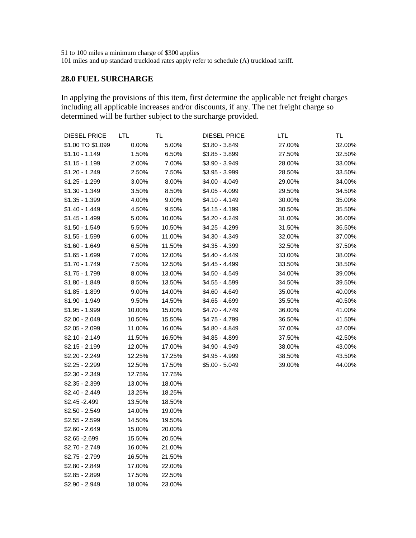51 to 100 miles a minimum charge of \$300 applies

\$2.90 - 2.949 18.00% 23.00%

101 miles and up standard truckload rates apply refer to schedule (A) truckload tariff.

### **28.0 FUEL SURCHARGE**

In applying the provisions of this item, first determine the applicable net freight charges including all applicable increases and/or discounts, if any. The net freight charge so determined will be further subject to the surcharge provided.

| <b>DIESEL PRICE</b> | LTL    | TL     | <b>DIESEL PRICE</b> | <b>LTL</b> | TL     |
|---------------------|--------|--------|---------------------|------------|--------|
| \$1.00 TO \$1.099   | 0.00%  | 5.00%  | \$3.80 - 3.849      | 27.00%     | 32.00% |
| $$1.10 - 1.149$     | 1.50%  | 6.50%  | $$3.85 - 3.899$     | 27.50%     | 32.50% |
| $$1.15 - 1.199$     | 2.00%  | 7.00%  | \$3.90 - 3.949      | 28.00%     | 33.00% |
| \$1.20 - 1.249      | 2.50%  | 7.50%  | $$3.95 - 3.999$     | 28.50%     | 33.50% |
| $$1.25 - 1.299$     | 3.00%  | 8.00%  | \$4.00 - 4.049      | 29.00%     | 34.00% |
| $$1.30 - 1.349$     | 3.50%  | 8.50%  | $$4.05 - 4.099$     | 29.50%     | 34.50% |
| $$1.35 - 1.399$     | 4.00%  | 9.00%  | \$4.10 - 4.149      | 30.00%     | 35.00% |
| $$1.40 - 1.449$     | 4.50%  | 9.50%  | \$4.15 - 4.199      | 30.50%     | 35.50% |
| $$1.45 - 1.499$     | 5.00%  | 10.00% | \$4.20 - 4.249      | 31.00%     | 36.00% |
| $$1.50 - 1.549$     | 5.50%  | 10.50% | \$4.25 - 4.299      | 31.50%     | 36.50% |
| $$1.55 - 1.599$     | 6.00%  | 11.00% | \$4.30 - 4.349      | 32.00%     | 37.00% |
| $$1.60 - 1.649$     | 6.50%  | 11.50% | \$4.35 - 4.399      | 32.50%     | 37.50% |
| $$1.65 - 1.699$     | 7.00%  | 12.00% | \$4.40 - 4.449      | 33.00%     | 38.00% |
| \$1.70 - 1.749      | 7.50%  | 12.50% | \$4.45 - 4.499      | 33.50%     | 38.50% |
| $$1.75 - 1.799$     | 8.00%  | 13.00% | \$4.50 - 4.549      | 34.00%     | 39.00% |
| \$1.80 - 1.849      | 8.50%  | 13.50% | \$4.55 - 4.599      | 34.50%     | 39.50% |
| $$1.85 - 1.899$     | 9.00%  | 14.00% | \$4.60 - 4.649      | 35.00%     | 40.00% |
| \$1.90 - 1.949      | 9.50%  | 14.50% | \$4.65 - 4.699      | 35.50%     | 40.50% |
| $$1.95 - 1.999$     | 10.00% | 15.00% | \$4.70 - 4.749      | 36.00%     | 41.00% |
| $$2.00 - 2.049$     | 10.50% | 15.50% | \$4.75 - 4.799      | 36.50%     | 41.50% |
| $$2.05 - 2.099$     | 11.00% | 16.00% | \$4.80 - 4.849      | 37.00%     | 42.00% |
| $$2.10 - 2.149$     | 11.50% | 16.50% | \$4.85 - 4.899      | 37.50%     | 42.50% |
| $$2.15 - 2.199$     | 12.00% | 17.00% | \$4.90 - 4.949      | 38.00%     | 43.00% |
| $$2.20 - 2.249$     | 12.25% | 17.25% | \$4.95 - 4.999      | 38.50%     | 43.50% |
| $$2.25 - 2.299$     | 12.50% | 17.50% | \$5.00 - 5.049      | 39.00%     | 44.00% |
| $$2.30 - 2.349$     | 12.75% | 17.75% |                     |            |        |
| $$2.35 - 2.399$     | 13.00% | 18.00% |                     |            |        |
| $$2.40 - 2.449$     | 13.25% | 18.25% |                     |            |        |
| \$2.45 - 2.499      | 13.50% | 18.50% |                     |            |        |
| $$2.50 - 2.549$     | 14.00% | 19.00% |                     |            |        |
| $$2.55 - 2.599$     | 14.50% | 19.50% |                     |            |        |
| $$2.60 - 2.649$     | 15.00% | 20.00% |                     |            |        |
| \$2.65 - 2.699      | 15.50% | 20.50% |                     |            |        |
| \$2.70 - 2.749      | 16.00% | 21.00% |                     |            |        |
| $$2.75 - 2.799$     | 16.50% | 21.50% |                     |            |        |
| $$2.80 - 2.849$     | 17.00% | 22.00% |                     |            |        |
| $$2.85 - 2.899$     | 17.50% | 22.50% |                     |            |        |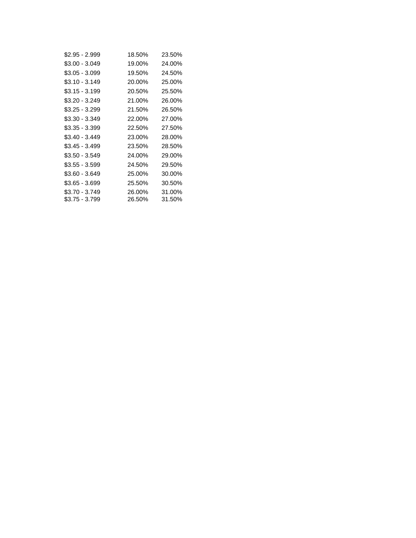| \$2.95 - 2.999 | 18.50% | 23.50% |
|----------------|--------|--------|
| \$3.00 - 3.049 | 19.00% | 24.00% |
| \$3.05 - 3.099 | 19.50% | 24.50% |
| \$3.10 - 3.149 | 20.00% | 25.00% |
| \$3.15 - 3.199 | 20.50% | 25.50% |
| \$3.20 - 3.249 | 21.00% | 26.00% |
| \$3.25 - 3.299 | 21.50% | 26.50% |
| \$3.30 - 3.349 | 22.00% | 27.00% |
| \$3.35 - 3.399 | 22.50% | 27.50% |
| \$3.40 - 3.449 | 23.00% | 28.00% |
| \$3.45 - 3.499 | 23.50% | 28.50% |
| \$3.50 - 3.549 | 24.00% | 29.00% |
| \$3.55 - 3.599 | 24.50% | 29.50% |
| \$3.60 - 3.649 | 25.00% | 30.00% |
| \$3.65 - 3.699 | 25.50% | 30.50% |
| \$3.70 - 3.749 | 26.00% | 31.00% |
| \$3.75 - 3.799 | 26.50% | 31.50% |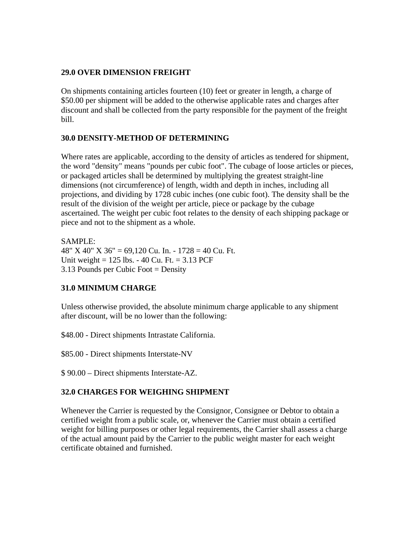### **29.0 OVER DIMENSION FREIGHT**

On shipments containing articles fourteen (10) feet or greater in length, a charge of \$50.00 per shipment will be added to the otherwise applicable rates and charges after discount and shall be collected from the party responsible for the payment of the freight bill.

### **30.0 DENSITY-METHOD OF DETERMINING**

Where rates are applicable, according to the density of articles as tendered for shipment, the word "density" means "pounds per cubic foot". The cubage of loose articles or pieces, or packaged articles shall be determined by multiplying the greatest straight-line dimensions (not circumference) of length, width and depth in inches, including all projections, and dividing by 1728 cubic inches (one cubic foot). The density shall be the result of the division of the weight per article, piece or package by the cubage ascertained. The weight per cubic foot relates to the density of each shipping package or piece and not to the shipment as a whole.

SAMPLE: 48"  $X$  40"  $X$  36" = 69,120 Cu. In. - 1728 = 40 Cu. Ft. Unit weight =  $125$  lbs. - 40 Cu. Ft. =  $3.13$  PCF 3.13 Pounds per Cubic Foot = Density

### **31.0 MINIMUM CHARGE**

Unless otherwise provided, the absolute minimum charge applicable to any shipment after discount, will be no lower than the following:

\$48.00 - Direct shipments Intrastate California.

\$85.00 - Direct shipments Interstate-NV

\$ 90.00 – Direct shipments Interstate-AZ.

### **32.0 CHARGES FOR WEIGHING SHIPMENT**

Whenever the Carrier is requested by the Consignor, Consignee or Debtor to obtain a certified weight from a public scale, or, whenever the Carrier must obtain a certified weight for billing purposes or other legal requirements, the Carrier shall assess a charge of the actual amount paid by the Carrier to the public weight master for each weight certificate obtained and furnished.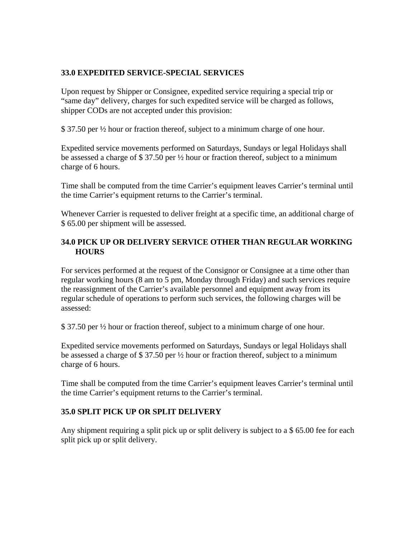### **33.0 EXPEDITED SERVICE-SPECIAL SERVICES**

Upon request by Shipper or Consignee, expedited service requiring a special trip or "same day" delivery, charges for such expedited service will be charged as follows, shipper CODs are not accepted under this provision:

\$ 37.50 per ½ hour or fraction thereof, subject to a minimum charge of one hour.

Expedited service movements performed on Saturdays, Sundays or legal Holidays shall be assessed a charge of \$ 37.50 per ½ hour or fraction thereof, subject to a minimum charge of 6 hours.

Time shall be computed from the time Carrier's equipment leaves Carrier's terminal until the time Carrier's equipment returns to the Carrier's terminal.

Whenever Carrier is requested to deliver freight at a specific time, an additional charge of \$ 65.00 per shipment will be assessed.

### **34.0 PICK UP OR DELIVERY SERVICE OTHER THAN REGULAR WORKING HOURS**

For services performed at the request of the Consignor or Consignee at a time other than regular working hours (8 am to 5 pm, Monday through Friday) and such services require the reassignment of the Carrier's available personnel and equipment away from its regular schedule of operations to perform such services, the following charges will be assessed:

\$ 37.50 per ½ hour or fraction thereof, subject to a minimum charge of one hour.

Expedited service movements performed on Saturdays, Sundays or legal Holidays shall be assessed a charge of \$ 37.50 per ½ hour or fraction thereof, subject to a minimum charge of 6 hours.

Time shall be computed from the time Carrier's equipment leaves Carrier's terminal until the time Carrier's equipment returns to the Carrier's terminal.

# **35.0 SPLIT PICK UP OR SPLIT DELIVERY**

Any shipment requiring a split pick up or split delivery is subject to a \$65.00 fee for each split pick up or split delivery.